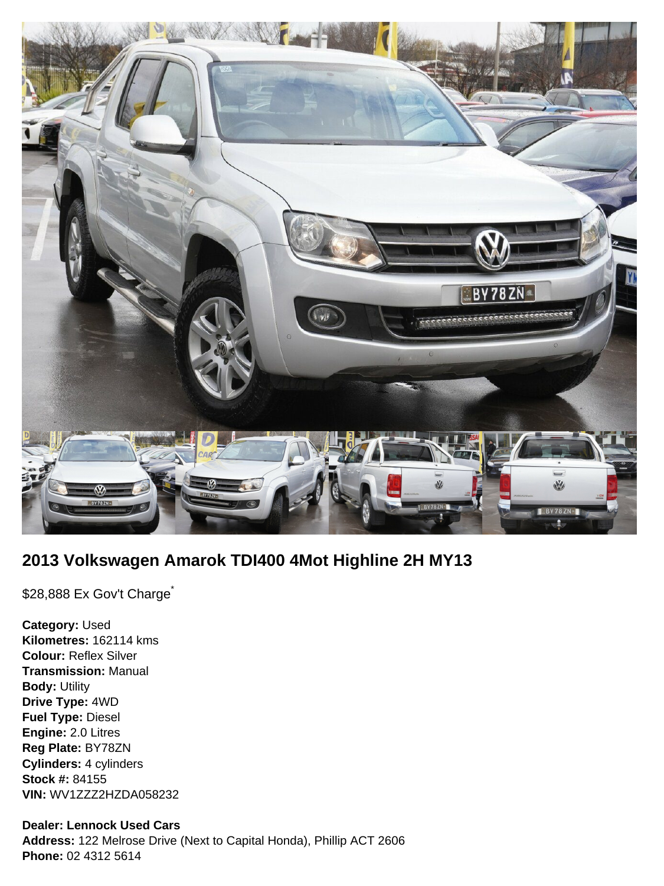

# **2013 Volkswagen Amarok TDI400 4Mot Highline 2H MY13**

\$28,888 Ex Gov't Charge<sup>\*</sup>

**Category:** Used **Kilometres:** 162114 kms **Colour:** Reflex Silver **Transmission:** Manual **Body:** Utility **Drive Type:** 4WD **Fuel Type:** Diesel **Engine:** 2.0 Litres **Reg Plate:** BY78ZN **Cylinders:** 4 cylinders **Stock #:** 84155 **VIN:** WV1ZZZ2HZDA058232

## **Dealer: Lennock Used Cars**

**Address:** 122 Melrose Drive (Next to Capital Honda), Phillip ACT 2606 **Phone:** 02 4312 5614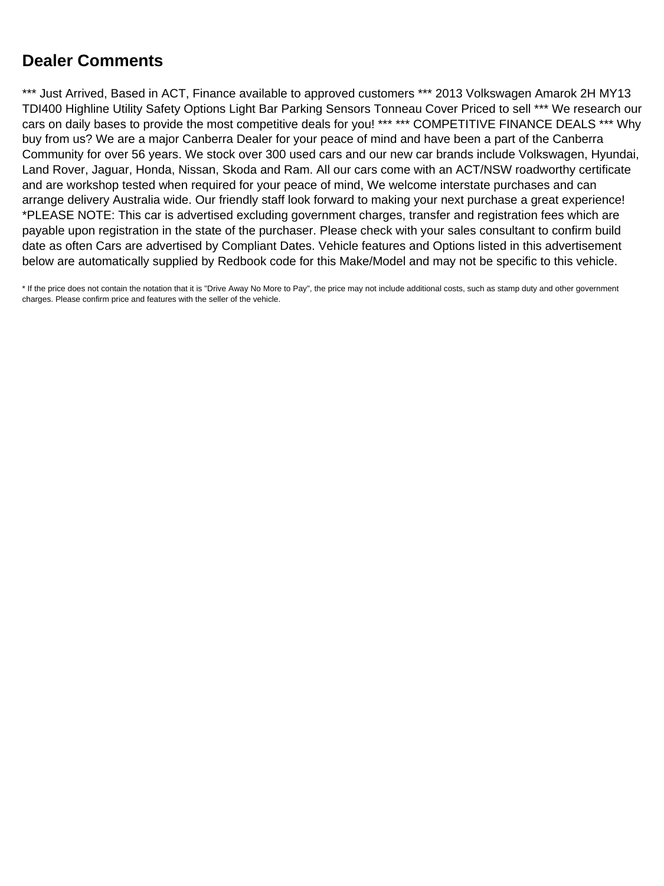## **Dealer Comments**

\*\*\* Just Arrived, Based in ACT, Finance available to approved customers \*\*\* 2013 Volkswagen Amarok 2H MY13 TDI400 Highline Utility Safety Options Light Bar Parking Sensors Tonneau Cover Priced to sell \*\*\* We research our cars on daily bases to provide the most competitive deals for you! \*\*\* \*\*\* COMPETITIVE FINANCE DEALS \*\*\* Why buy from us? We are a major Canberra Dealer for your peace of mind and have been a part of the Canberra Community for over 56 years. We stock over 300 used cars and our new car brands include Volkswagen, Hyundai, Land Rover, Jaguar, Honda, Nissan, Skoda and Ram. All our cars come with an ACT/NSW roadworthy certificate and are workshop tested when required for your peace of mind, We welcome interstate purchases and can arrange delivery Australia wide. Our friendly staff look forward to making your next purchase a great experience! \*PLEASE NOTE: This car is advertised excluding government charges, transfer and registration fees which are payable upon registration in the state of the purchaser. Please check with your sales consultant to confirm build date as often Cars are advertised by Compliant Dates. Vehicle features and Options listed in this advertisement below are automatically supplied by Redbook code for this Make/Model and may not be specific to this vehicle.

\* If the price does not contain the notation that it is "Drive Away No More to Pay", the price may not include additional costs, such as stamp duty and other government charges. Please confirm price and features with the seller of the vehicle.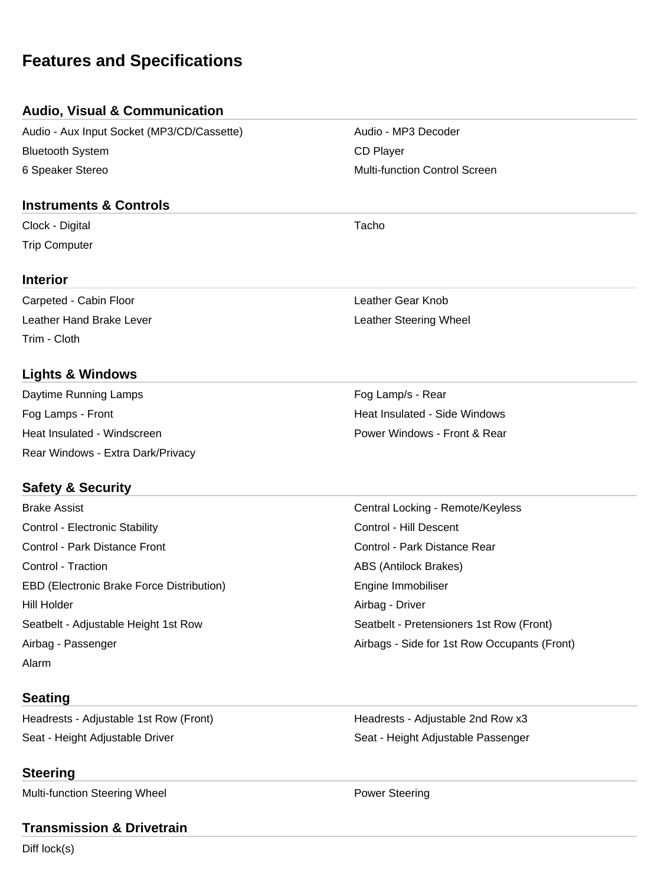## **Features and Specifications**

#### **Audio, Visual & Communication**

Audio - Aux Input Socket (MP3/CD/Cassette) Audio - MP3 Decoder Bluetooth System **CD** Player 6 Speaker Stereo **Multi-function Control Screen** Multi-function Control Screen

#### **Instruments & Controls**

Clock - Digital Tacho Trip Computer

#### **Interior**

Carpeted - Cabin Floor Leather Gear Knob Leather Hand Brake Lever Leather Steering Wheel Trim - Cloth

### **Lights & Windows**

Daytime Running Lamps **Fog Lamp's - Rear** Fog Lamp's - Rear Fog Lamps - Front **Heat Insulated - Side Windows Heat Insulated - Side Windows** Heat Insulated - Windscreen **Power Windows - Front & Rear** Power Windows - Front & Rear Rear Windows - Extra Dark/Privacy

### **Safety & Security**

Control - Electronic Stability **Control - Electronic Stability** Control - Hill Descent Control - Park Distance Front Control - Park Distance Rear Control - Traction **ABS** (Antilock Brakes) EBD (Electronic Brake Force Distribution) and Engine Immobiliser Hill Holder **Airbag - Driver** Airbag - Driver Alarm

#### **Seating**

Headrests - Adjustable 1st Row (Front) Meadrests - Adjustable 2nd Row x3 Seat - Height Adjustable Driver Seat - Height Adjustable Passenger

#### **Steering**

Multi-function Steering Wheel **Power Steering** 

#### **Transmission & Drivetrain**

Diff lock(s)

Brake Assist Central Locking - Remote/Keyless Seatbelt - Adjustable Height 1st Row Seatbelt - Pretensioners 1st Row (Front) Airbag - Passenger Airbags - Side for 1st Row Occupants (Front)